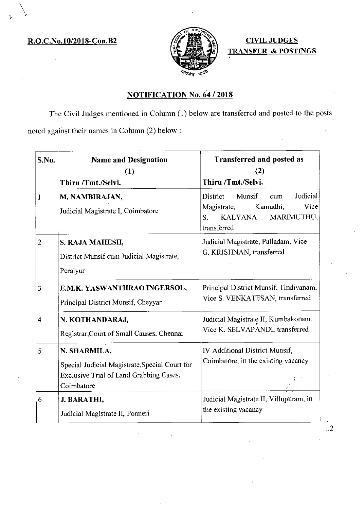R.O.C.No.10/2018-Con.B2  $\mathscr{E}$   $\mathscr{E}$   $\mathscr{E}$   $\mathscr{E}$   $\mathscr{E}$  CIVIL JUDGES



TRANSFER & POSTINGS

## NOTIFICATION No. 64 / 2018

The Civil Judges mentioned in Column (1) below are transferred and posted to the posts noted against their names in Column (2) below:

| S.No.          | <b>Name and Designation</b><br>(1)                                                                                      | <b>Transferred and posted as</b><br>(2)                                                                                       |
|----------------|-------------------------------------------------------------------------------------------------------------------------|-------------------------------------------------------------------------------------------------------------------------------|
|                | Thiru /Tmt./Selvi.                                                                                                      | Thiru /Tmt./Selvi.                                                                                                            |
| $\mathbf{1}$   | M. NAMBIRAJAN,<br>Judicial Magistrate I, Coimbatore                                                                     | Judicial<br>District<br>Munsif<br>cum<br>Vice<br>Kamudhi,<br>Magistrate,<br><b>KALYANA</b><br>MARIMUTHU,<br>S.<br>transferred |
| $\overline{2}$ | S. RAJA MAHESH,<br>District Munsif cum Judicial Magistrate,<br>Peraiyur                                                 | Judicial Magistrate, Palladam, Vice<br>G. KRISHNAN, transferred                                                               |
| 3              | E.M.K. YASWANTHRAO INGERSOL,<br>Principal District Munsif, Cheyyar                                                      | Principal District Munsif, Tindivanam,<br>Vice S. VENKATESAN, transferred                                                     |
| 4              | N. KOTHANDARAJ,<br>Registrar, Court of Small Causes, Chennai                                                            | Judicial Magistrate II, Kumbakonam,<br>Vice K. SELVAPANDI, transferred                                                        |
| 5              | N. SHARMILA,<br>Special Judicial Magistrate, Special Court for<br>Exclusive Trial of Land Grabbing Cases,<br>Coimbatore | IV Additional District Munsif,<br>Coimbatore, in the existing vacancy                                                         |
| 6              | J. BARATHI,<br>Judicial Magistrate II, Ponneri                                                                          | Judicial Magistrate II, Villupuram, in<br>the existing vacancy                                                                |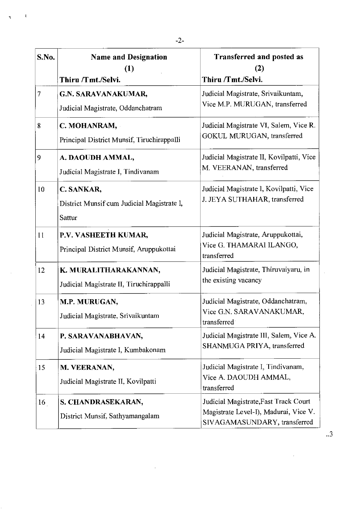| S.No.        | <b>Name and Designation</b><br>(1)<br>Thiru /Tmt./Selvi.           | Transferred and posted as<br>(2)<br>Thiru /Tmt./Selvi.                                                         |
|--------------|--------------------------------------------------------------------|----------------------------------------------------------------------------------------------------------------|
| 7            | G.N. SARAVANAKUMAR,<br>Judicial Magistrate, Oddanchatram           | Judicial Magistrate, Srivaikuntam,<br>Vice M.P. MURUGAN, transferred                                           |
| 8            | C. MOHANRAM,<br>Principal District Munsif, Tiruchirappalli         | Judicial Magistrate VI, Salem, Vice R.<br>GOKUL MURUGAN, transferred                                           |
| 9            | A. DAOUDH AMMAL,<br>Judicial Magistrate I, Tindivanam              | Judicial Magistrate II, Kovilpatti, Vice<br>M. VEERANAN, transferred                                           |
| 10           | C. SANKAR,<br>District Munsif cum Judicial Magistrate I,<br>Sattur | Judicial Magistrate I, Kovilpatti, Vice<br>J. JEYA SUTHAHAR, transferred                                       |
| $\mathbf{1}$ | P.V. VASHEETH KUMAR,<br>Principal District Munsif, Aruppukottai    | Judicial Magistrate, Aruppukottai,<br>Vice G. THAMARAI ILANGO,<br>transferred                                  |
| 12           | K. MURALITHARAKANNAN,<br>Judicial Magistrate II, Tiruchirappalli   | Judicial Magistrate, Thiruvaiyaru, in<br>the existing vacancy                                                  |
| 13           | M.P. MURUGAN,<br>Judicial Magistrate, Srivaikuntam                 | Judicial Magistrate, Oddanchatram,<br>Vice G.N. SARAVANAKUMAR,<br>transferred                                  |
| 14           | P. SARAVANABHAVAN,<br>Judicial Magistrate I, Kumbakonam            | Judicial Magistrate III, Salem, Vice A.<br>SHANMUGA PRIYA, transferred                                         |
| 15           | M. VEERANAN,<br>Judicial Magistrate II, Kovilpatti                 | Judicial Magistrate I, Tindivanam,<br>Vice A. DAOUDH AMMAL,<br>transferred                                     |
| 16           | S. CHANDRASEKARAN,<br>District Munsif, Sathyamangalam              | Judicial Magistrate, Fast Track Court<br>Magistrate Level-I), Madurai, Vice V.<br>SIVAGAMASUNDARY, transferred |

 $\label{eq:2.1} \frac{1}{\sqrt{2}}\int_{\mathbb{R}^3}\frac{1}{\sqrt{2}}\left(\frac{1}{\sqrt{2}}\right)^2\frac{1}{\sqrt{2}}\left(\frac{1}{\sqrt{2}}\right)^2\frac{1}{\sqrt{2}}\left(\frac{1}{\sqrt{2}}\right)^2.$ 

 $\frac{1}{2}$  $\mathbb{R}^2$ 

 $\frac{1}{2}$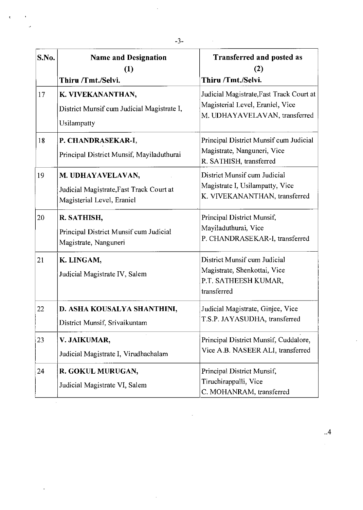| S.No. | <b>Name and Designation</b><br>(1)                                                          | <b>Transferred and posted as</b><br>(2)                                                                       |
|-------|---------------------------------------------------------------------------------------------|---------------------------------------------------------------------------------------------------------------|
|       | Thiru /Tmt./Selvi.                                                                          | Thiru /Tmt./Selvi.                                                                                            |
| 17    | K. VIVEKANANTHAN,<br>District Munsif cum Judicial Magistrate I,<br>Usilampatty              | Judicial Magistrate, Fast Track Court at<br>Magisterial Level, Eraniel, Vice<br>M. UDHAYAVELAVAN, transferred |
| 18    | P. CHANDRASEKAR-I,<br>Principal District Munsif, Mayiladuthurai                             | Principal District Munsif cum Judicial<br>Magistrate, Nanguneri, Vice<br>R. SATHISH, transferred              |
| 19    | M. UDHAYAVELAVAN,<br>Judicial Magistrate, Fast Track Court at<br>Magisterial Level, Eraniel | District Munsif cum Judicial<br>Magistrate I, Usilampatty, Vice<br>K. VIVEKANANTHAN, transferred              |
| 20    | R. SATHISH,<br>Principal District Munsif cum Judicial<br>Magistrate, Nanguneri              | Principal District Munsif,<br>Mayiladuthurai, Vice<br>P. CHANDRASEKAR-I, transferred                          |
| 21    | K. LINGAM,<br>Judicial Magistrate IV, Salem                                                 | District Munsif cum Judicial<br>Magistrate, Shenkottai, Vice<br>P.T. SATHEESH KUMAR,<br>transferred           |
| 22    | D. ASHA KOUSALYA SHANTHINI,<br>District Munsif, Srivaikuntam                                | Judicial Magistrate, Ginjee, Vice<br>T.S.P. JAYASUDHA, transferred                                            |
| 23    | V. JAIKUMAR,<br>Judicial Magistrate I, Virudhachalam                                        | Principal District Munsif, Cuddalore,<br>Vice A.B. NASEER ALI, transferred                                    |
| 24    | R. GOKUL MURUGAN,<br>Judicial Magistrate VI, Salem                                          | Principal District Munsif,<br>Tiruchirappalli, Vice<br>C. MOHANRAM, transferred                               |

 $\label{eq:2.1} \frac{1}{\sqrt{2}}\int_{0}^{\infty}\frac{1}{\sqrt{2\pi}}\left(\frac{1}{\sqrt{2}}\right)^{2}d\mu\,d\mu\,.$ 

 $\mathcal{L}_{\mathcal{A}}$ 

 $\frac{1}{2}$ 

 $\begin{aligned} \mathcal{S}^{(1)} & = \frac{1}{2} \mathcal{S}^{(1)} \end{aligned}$ 

 $\sim 10^{-1}$ 

 $\mathcal{L}_{\mathcal{L}}$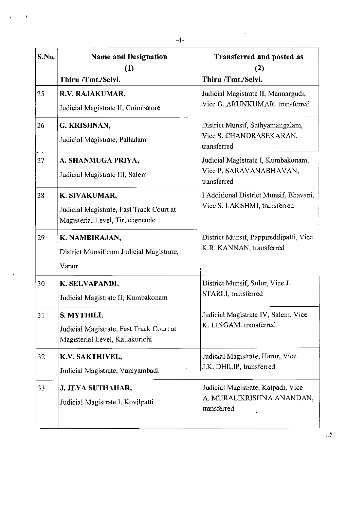| S.No. | <b>Name and Designation</b><br>(1)<br>Thiru /Tmt./Selvi.                                     | <b>Transferred and posted as</b><br>(2)<br>Thiru /Tmt./Selvi.                  |
|-------|----------------------------------------------------------------------------------------------|--------------------------------------------------------------------------------|
| 25    | R.V. RAJAKUMAR,<br>Judicial Magistrate II, Coimbatore                                        | Judicial Magistrate II, Mannargudi,<br>Vice G. ARUNKUMAR, transferred          |
| 26    | G. KRISHNAN,<br>Judicial Magistrate, Palladam                                                | District Munsif, Sathyamangalam,<br>Vice S. CHANDRASEKARAN,<br>transferred     |
| 27    | A. SHANMUGA PRIYA,<br>Judicial Magistrate III, Salem                                         | Judicial Magistrate I, Kumbakonam,<br>Vice P. SARAVANABHAVAN,<br>transferred   |
| 28    | K. SIVAKUMAR,<br>Judicial Magistrate, Fast Track Court at<br>Magisterial Level, Tiruchencode | I Additional District Munsif, Bhavani,<br>Vice S. LAKSHMI, transferred         |
| 29    | K. NAMBIRAJAN,<br>District Munsif cum Judicial Magistrate,<br>Vanur                          | District Munsif, Pappireddipatti, Vice<br>K.R. KANNAN, transferred             |
| 30    | K. SELVAPANDI,<br>Judicial Magistrate II, Kumbakonam                                         | District Munsif, Sulur, Vice J.<br>STARLI, transferred                         |
| 31    | S. MYTHILI,<br>Judicial Magistrate, Fast Track Court at<br>Magisterial Level, Kallakurichi   | Judicial Magistrate IV, Salem, Vice<br>K. LINGAM, transferred                  |
| 32    | K.V. SAKTHIVEL,<br>Judicial Magistrate, Vaniyambadi                                          | Judicial Magistrate, Harur, Vice<br>J.K. DHILIP, transferred                   |
| 33    | <b>J. JEYA SUTHAHAR,</b><br>Judicial Magistrate I, Kovilpatti                                | Judicial Magistrate, Katpadi, Vice<br>A. MURALIKRISHNA ANANDAN,<br>transferred |

 $\hat{\mathcal{A}}$ 

 $\sim$   $\sim$ 

 $\hat{\mathbf{r}}$ 

 $\hat{\mathbf{v}}$ 

l,

 $\hat{\boldsymbol{\beta}}$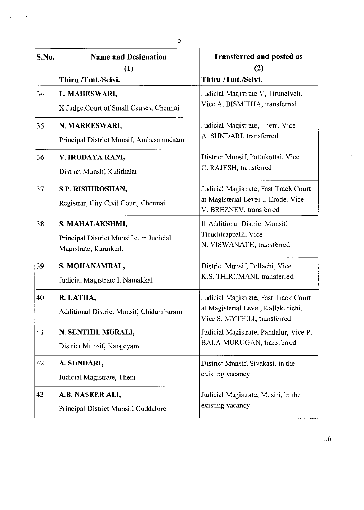| S.No. | <b>Name and Designation</b><br>(1)<br>Thiru /Tmt./Selvi.                           | <b>Transferred and posted as</b><br>(2)<br>Thiru /Tmt./Selvi.                                                |
|-------|------------------------------------------------------------------------------------|--------------------------------------------------------------------------------------------------------------|
| 34    | L. MAHESWARI,<br>X Judge, Court of Small Causes, Chennai                           | Judicial Magistrate V, Tirunelveli,<br>Vice A. BISMITHA, transferred                                         |
| 35    | N. MAREESWARI,<br>Principal District Munsif, Ambasamudram                          | Judicial Magistrate, Theni, Vice<br>A. SUNDARI, transferred                                                  |
| 36    | V. IRUDAYA RANI,<br>District Munsif, Kulithalai                                    | District Munsif, Pattukottai, Vice<br>C. RAJESH, transferred                                                 |
| 37    | S.P. RISHIROSHAN,<br>Registrar, City Civil Court, Chennai                          | Judicial Magistrate, Fast Track Court<br>at Magisterial Level-I, Erode, Vice<br>V. BREZNEV, transferred      |
| 38    | S. MAHALAKSHMI,<br>Principal District Munsif cum Judicial<br>Magistrate, Karaikudi | II Additional District Munsif,<br>Tiruchirappalli, Vice<br>N. VISWANATH, transferred                         |
| 39    | S. MOHANAMBAL,<br>Judicial Magistrate I, Namakkal                                  | District Munsif, Pollachi, Vice<br>K.S. THIRUMANI, transferred                                               |
| 40    | R. LATHA,<br>Additional District Munsif, Chidambaram                               | Judicial Magistrate, Fast Track Court<br>at Magisterial Level, Kallakurichi,<br>Vice S. MYTHILI, transferred |
| 41    | N. SENTHIL MURALI,<br>District Munsif, Kangeyam                                    | Judicial Magistrate, Pandalur, Vice P.<br>BALA MURUGAN, transferred                                          |
| 42    | A. SUNDARI,<br>Judicial Magistrate, Theni                                          | District Munsif, Sivakasi, in the<br>existing vacancy                                                        |
| 43    | A.B. NASEER ALI,<br>Principal District Munsif, Cuddalore                           | Judicial Magistrate, Musiri, in the<br>existing vacancy                                                      |

 $\label{eq:2.1} \frac{1}{\sqrt{2}}\int_{\mathbb{R}^3}\frac{1}{\sqrt{2}}\left(\frac{1}{\sqrt{2}}\right)^2\frac{1}{\sqrt{2}}\left(\frac{1}{\sqrt{2}}\right)^2\frac{1}{\sqrt{2}}\left(\frac{1}{\sqrt{2}}\right)^2\frac{1}{\sqrt{2}}\left(\frac{1}{\sqrt{2}}\right)^2.$ 

 $\sqrt{1-\lambda^2}$ 

 $\sim$   $\sim$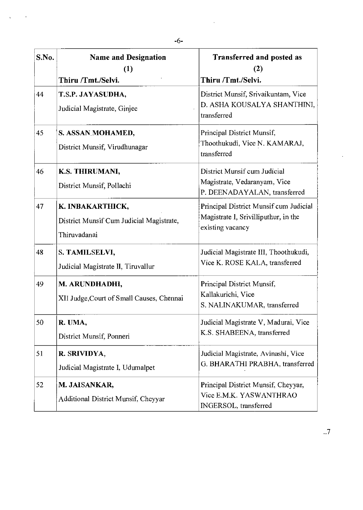| S.No. | <b>Name and Designation</b><br>(1)<br>Thiru /Tmt./Selvi. | Transferred and posted as<br>(2)<br>Thiru /Tmt./Selvi.                                             |
|-------|----------------------------------------------------------|----------------------------------------------------------------------------------------------------|
|       |                                                          |                                                                                                    |
| 44    | T.S.P. JAYASUDHA,<br>Judicial Magistrate, Ginjee         | District Munsif, Srivaikuntam, Vice<br>D. ASHA KOUSALYA SHANTHINI,<br>transferred                  |
| 45    | S. ASSAN MOHAMED,                                        | Principal District Munsif,                                                                         |
|       | District Munsif, Virudhunagar                            | Thoothukudi, Vice N. KAMARAJ,<br>transferred                                                       |
| 46    | K.S. THIRUMANI,                                          | District Munsif cum Judicial                                                                       |
|       | District Munsif, Pollachi                                | Magistrate, Vedaranyam, Vice<br>P. DEENADAYALAN, transferred                                       |
| 47    | K. INBAKARTHICK,                                         | Principal District Munsif cum Judicial<br>Magistrate I, Srivilliputhur, in the<br>existing vacancy |
|       | District Munsif Cum Judicial Magistrate,                 |                                                                                                    |
|       | Thiruvadanai                                             |                                                                                                    |
| 48    | S. TAMILSELVI,                                           | Judicial Magistrate III, Thoothukudi,                                                              |
|       | Judicial Magistrate II, Tiruvallur                       | Vice K. ROSE KALA, transferred                                                                     |
| 49    | M. ARUNDHADHI,                                           | Principal District Munsif,                                                                         |
|       | XII Judge, Court of Small Causes, Chennai                | Kallakurichi, Vice<br>S. NALINAKUMAR, transferred                                                  |
| 50    | R. UMA,                                                  | Judicial Magistrate V, Madurai, Vice                                                               |
|       | District Munsif, Ponneri                                 | K.S. SHABEENA, transferred                                                                         |
| 51    | R. SRIVIDYA,                                             | Judicial Magistrate, Avinashi, Vice                                                                |
|       | Judicial Magistrate I, Udumalpet                         | G. BHARATHI PRABHA, transferred                                                                    |
| 52    | M. JAISANKAR,                                            | Principal District Munsif, Cheyyar,                                                                |
|       | Additional District Munsif, Cheyyar                      | Vice E.M.K. YASWANTHRAO<br>INGERSOL, transferred                                                   |

 $\sim$   $\sim$ 

 $\sim 10$  $\hat{\mathcal{A}}$ 

 $\frac{1}{2}$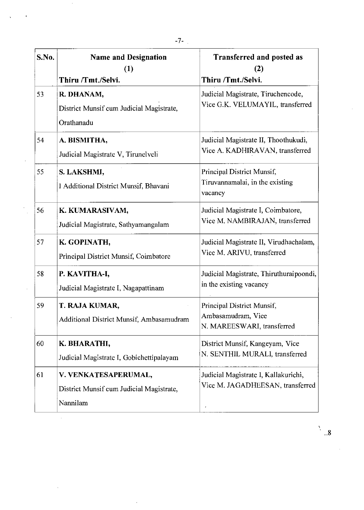| S.No. | <b>Name and Designation</b><br>$\left(1\right)$<br>Thiru /Tmt./Selvi.        | <b>Transferred and posted as</b><br>(2)<br>Thiru /Tmt./Selvi.                  |
|-------|------------------------------------------------------------------------------|--------------------------------------------------------------------------------|
| 53    | R. DHANAM,<br>District Munsif cum Judicial Magistrate,<br>Orathanadu         | Judicial Magistrate, Tiruchencode,<br>Vice G.K. VELUMAYIL, transferred         |
| 54    | A. BISMITHA,<br>Judicial Magistrate V, Tirunelveli                           | Judicial Magistrate II, Thoothukudi,<br>Vice A. KADHIRAVAN, transferred        |
| 55    | S. LAKSHMI,<br>I Additional District Munsif, Bhavani                         | Principal District Munsif,<br>Tiruvannamalai, in the existing<br>vacancy       |
| 56    | K. KUMARASIVAM,<br>Judicial Magistrate, Sathyamangalam                       | Judicial Magistrate I, Coimbatore,<br>Vice M. NAMBIRAJAN, transferred          |
| 57    | K. GOPINATH,<br>Principal District Munsif, Coimbatore                        | Judicial Magistrate II, Virudhachalam,<br>Vice M. ARIVU, transferred           |
| 58    | P. KAVITHA-I,<br>Judicial Magistrate I, Nagapattinam                         | Judicial Magistrate, Thiruthuraipoondi,<br>in the existing vacancy             |
| 59    | T. RAJA KUMAR,<br>Additional District Munsif, Ambasamudram                   | Principal District Munsif,<br>Ambasamudram, Vice<br>N. MAREESWARI, transferred |
| 60    | K. BHARATHI,<br>Judicial Magistrate I, Gobichettipalayam                     | District Munsif, Kangeyam, Vice<br>N. SENTHIL MURALI, transferred              |
| 61    | V. VENKATESAPERUMAL,<br>District Munsif cum Judicial Magistrate,<br>Nannilam | Judicial Magistrate I, Kallakurichi,<br>Vice M. JAGADHEESAN, transferred       |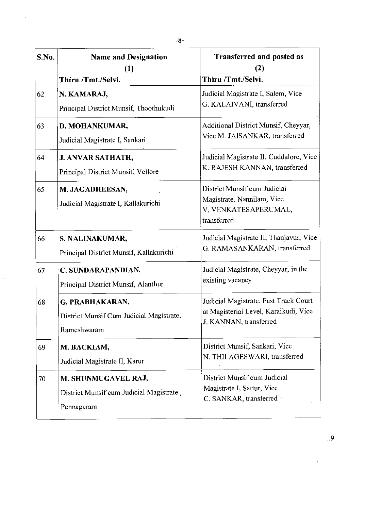| S.No. | <b>Name and Designation</b><br>(1)<br>Thiru /Tmt./Selvi.                      | Transferred and posted as<br>(2)<br>Thiru /Tmt./Selvi.                                                   |
|-------|-------------------------------------------------------------------------------|----------------------------------------------------------------------------------------------------------|
| 62    | N. KAMARAJ,<br>Principal District Munsif, Thoothukudi                         | Judicial Magistrate I, Salem, Vice<br>G. KALAIVANI, transferred                                          |
| 63    | D. MOHANKUMAR,<br>Judicial Magistrate I, Sankari                              | Additional District Munsif, Cheyyar,<br>Vice M. JAISANKAR, transferred                                   |
| 64    | <b>J. ANVAR SATHATH,</b><br>Principal District Munsif, Vellore                | Judicial Magistrate II, Cuddalore, Vice<br>K. RAJESH KANNAN, transferred                                 |
| 65    | M. JAGADHEESAN,<br>Judicial Magistrate I, Kallakurichi                        | District Munsif cum Judicial<br>Magistrate, Nannilam, Vice<br>V. VENKATESAPERUMAL,<br>transferred        |
| 66    | S. NALINAKUMAR,<br>Principal District Munsif, Kallakurichi                    | Judicial Magistrate II, Thanjayur, Vice<br>G. RAMASANKARAN, transferred                                  |
| 67    | C. SUNDARAPANDIAN,<br>Principal District Munsif, Alanthur                     | Judicial Magistrate, Cheyyar, in the<br>existing vacancy                                                 |
| 68    | G. PRABHAKARAN,<br>District Munsif Cum Judicial Magistrate,<br>Rameshwaram    | Judicial Magistrate, Fast Track Court<br>at Magisterial Level, Karaikudi, Vice<br>J. KANNAN, transferred |
| 69    | M. BACKIAM,<br>Judicial Magistrate II, Karur                                  | District Munsif, Sankari, Vice<br>N. THILAGESWARI, transferred                                           |
| 70    | M. SHUNMUGAVEL RAJ,<br>District Munsif cum Judicial Magistrate,<br>Pennagaram | District Munsif cum Judicial<br>Magistrate I, Sattur, Vice<br>C. SANKAR, transferred                     |

 $\hat{\mathcal{A}}$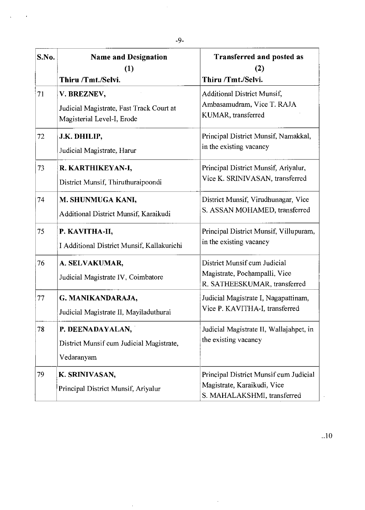| S.No. | <b>Name and Designation</b><br>(1)                                                    | <b>Transferred and posted as</b><br>(2)                                                              |
|-------|---------------------------------------------------------------------------------------|------------------------------------------------------------------------------------------------------|
|       | Thiru /Tmt./Selvi.                                                                    | Thiru /Tmt./Selvi.                                                                                   |
| 71    | V. BREZNEV,<br>Judicial Magistrate, Fast Track Court at<br>Magisterial Level-I, Erode | <b>Additional District Munsif,</b><br>Ambasamudram, Vice T. RAJA<br>KUMAR, transferred               |
| 72    | J.K. DHILIP,<br>Judicial Magistrate, Harur                                            | Principal District Munsif, Namakkal,<br>in the existing vacancy                                      |
| 73    | R. KARTHIKEYAN-I,<br>District Munsif, Thiruthuraipoondi                               | Principal District Munsif, Ariyalur,<br>Vice K. SRINIVASAN, transferred                              |
| 74    | M. SHUNMUGA KANI,<br>Additional District Munsif, Karaikudi                            | District Munsif, Virudhunagar, Vice<br>S. ASSAN MOHAMED, transferred                                 |
| 75    | P. KAVITHA-II,<br>I Additional District Munsif, Kallakurichi                          | Principal District Munsif, Villupuram,<br>in the existing vacancy                                    |
| 76    | A. SELVAKUMAR,<br>Judicial Magistrate IV, Coimbatore                                  | District Munsif cum Judicial<br>Magistrate, Pochampalli, Vice<br>R. SATHEESKUMAR, transferred        |
| 77    | G. MANIKANDARAJA,<br>Judicial Magistrate II, Mayiladuthurai                           | Judicial Magistrate I, Nagapattinam,<br>Vice P. KAVITHA-I, transferred                               |
| 78    | P. DEENADAYALAN,<br>District Munsif cum Judicial Magistrate,<br>Vedaranyam            | Judicial Magistrate II, Wallajahpet, in<br>the existing vacancy                                      |
| 79    | K. SRINIVASAN,<br>Principal District Munsif, Ariyalur                                 | Principal District Munsif cum Judicial<br>Magistrate, Karaikudi, Vice<br>S. MAHALAKSHMI, transferred |

 $\sim$ 

 $\hat{\mathcal{A}}$ 

 $\frac{1}{2}$ 

 $\hat{\mathbf{r}}$ 

 $\ddot{\phantom{a}}$ 

 $\ddot{\phantom{a}}$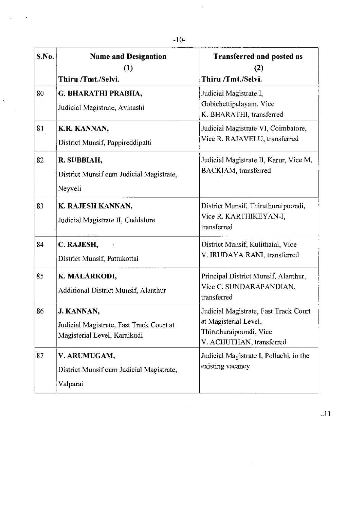$\bar{\mathbf{z}}$ 

 $\bar{a}$ 

 $\ddot{\phantom{0}}$ 

 $\mathcal{A}$ 

| S.No. | <b>Name and Designation</b>                                                            | <b>Transferred and posted as</b>                                                                                      |
|-------|----------------------------------------------------------------------------------------|-----------------------------------------------------------------------------------------------------------------------|
|       | (1)<br>Thiru /Tmt./Selvi.                                                              | (2)<br>Thiru /Tmt./Selvi.                                                                                             |
| 80    | G. BHARATHI PRABHA,<br>Judicial Magistrate, Avinashi                                   | Judicial Magistrate I,<br>Gobichettipalayam, Vice<br>K. BHARATHI, transferred                                         |
| 81    | K.R. KANNAN,<br>District Munsif, Pappireddipatti                                       | Judicial Magistrate VI, Coimbatore,<br>Vice R. RAJAVELU, transferred                                                  |
| 82    | R. SUBBIAH,<br>District Munsif cum Judicial Magistrate,<br>Neyveli                     | Judicial Magistrate II, Karur, Vice M.<br><b>BACKIAM</b> , transferred                                                |
| 83    | K. RAJESH KANNAN,<br>Judicial Magistrate II, Cuddalore                                 | District Munsif, Thiruthuraipoondi,<br>Vice R. KARTHIKEYAN-I,<br>transferred                                          |
| 84    | C. RAJESH,<br>District Munsif, Pattukottai                                             | District Munsif, Kulithalai, Vice<br>V. IRUDAYA RANI, transferred                                                     |
| 85    | K. MALARKODI,<br>Additional District Munsif, Alanthur                                  | Principal District Munsif, Alanthur,<br>Vice C. SUNDARAPANDIAN,<br>transferred                                        |
| 86    | J. KANNAN,<br>Judicial Magistrate, Fast Track Court at<br>Magisterial Level, Karaikudi | Judicial Magistrate, Fast Track Court<br>at Magisterial Level.<br>Thiruthuraipoondi, Vice<br>V. ACHUTHAN, transferred |
| 87    | V. ARUMUGAM,<br>District Munsif cum Judicial Magistrate,<br>Valparai                   | Judicial Magistrate I, Pollachi, in the<br>existing vacancy                                                           |

 $\mathcal{L}^{\text{max}}_{\text{max}}$  ,  $\mathcal{L}^{\text{max}}_{\text{max}}$ 

 $\sim$   $\sim$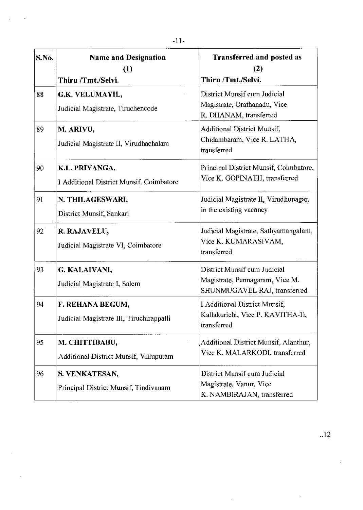| S.No.           | <b>Name and Designation</b><br>(1)<br>Thiru /Tmt./Selvi.     | <b>Transferred and posted as</b><br>(2)<br>Thiru /Tmt./Selvi.                                   |
|-----------------|--------------------------------------------------------------|-------------------------------------------------------------------------------------------------|
| 88              | G.K. VELUMAYIL,<br>Judicial Magistrate, Tiruchencode         | District Munsif cum Judicial<br>Magistrate, Orathanadu, Vice<br>R. DHANAM, transferred          |
| 89              | M. ARIVU,<br>Judicial Magistrate II, Virudhachalam           | <b>Additional District Munsif,</b><br>Chidambaram, Vice R. LATHA,<br>transferred                |
| 90              | K.L. PRIYANGA,<br>I Additional District Munsif, Coimbatore   | Principal District Munsif, Coimbatore,<br>Vice K. GOPINATH, transferred                         |
| 91              | N. THILAGESWARI,<br>District Munsif, Sankari                 | Judicial Magistrate II, Virudhunagar,<br>in the existing vacancy                                |
| 92 <sup>2</sup> | R. RAJAVELU,<br>Judicial Magistrate VI, Coimbatore           | Judicial Magistrate, Sathyamangalam,<br>Vice K. KUMARASIVAM,<br>transferred                     |
| 93              | G. KALAIVANI,<br>Judicial Magistrate I, Salem                | District Munsif cum Judicial<br>Magistrate, Pennagaram, Vice M.<br>SHUNMUGAVEL RAJ, transferred |
| 94              | F. REHANA BEGUM,<br>Judicial Magistrate III, Tiruchirappalli | I Additional District Munsif,<br>Kallakurichi, Vice P. KAVITHA-Il,<br>transferred               |
| 95              | M. CHITTIBABU,<br>Additional District Munsif, Villupuram     | Additional District Munsif, Alanthur,<br>Vice K. MALARKODI, transferred                         |
| 96              | S. VENKATESAN,<br>Principal District Munsif, Tindivanam      | District Munsif cum Judicial<br>Magistrate, Vanur, Vice<br>K. NAMBIRAJAN, transferred           |

 $\overline{a}$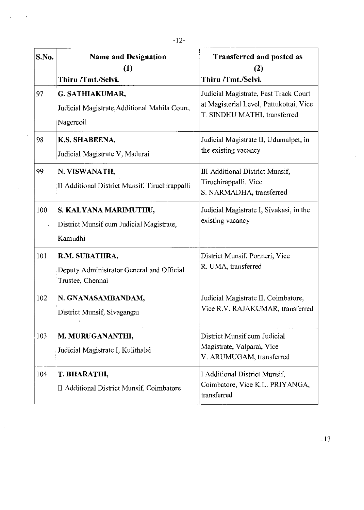| S.No. | <b>Name and Designation</b><br>(1)                                              | Transferred and posted as<br>(2)                                                                                 |
|-------|---------------------------------------------------------------------------------|------------------------------------------------------------------------------------------------------------------|
|       | Thiru /Tmt./Selvi.                                                              | Thiru /Tmt./Selvi.                                                                                               |
| 97    | G. SATHIAKUMAR,<br>Judicial Magistrate, Additional Mahila Court,<br>Nagercoil   | Judicial Magistrate, Fast Track Court<br>at Magisterial Level, Pattukottai, Vice<br>T. SINDHU MATHI, transferred |
| 98    | K.S. SHABEENA,<br>Judicial Magistrate V, Madurai                                | Judicial Magistrate II, Udumalpet, in<br>the existing vacancy                                                    |
| 99    | N. VISWANATH,<br>II Additional District Munsif, Tiruchirappalli                 | III Additional District Munsif,<br>Tiruchirappalli, Vice<br>S. NARMADHA, transferred                             |
| 100   | S. KALYANA MARIMUTHU,<br>District Munsif cum Judicial Magistrate,<br>Kamudhi    | Judicial Magistrate I, Sivakasi, in the<br>existing vacancy                                                      |
| 101   | R.M. SUBATHRA,<br>Deputy Administrator General and Official<br>Trustee, Chennai | District Munsif, Ponneri, Vice<br>R. UMA, transferred                                                            |
| 102   | N. GNANASAMBANDAM,<br>District Munsif, Sivagangai                               | Judicial Magistrate II, Coimbatore,<br>Vice R.V. RAJAKUMAR, transferred                                          |
| 103   | M. MURUGANANTHI,<br>Judicial Magistrate I, Kulithalai                           | District Munsif cum Judicial<br>Magistrate, Valparai, Vice<br>V. ARUMUGAM, transferred                           |
| 104   | T. BHARATHI,<br>II Additional District Munsif, Coimbatore                       | I Additional District Munsif,<br>Coimbatore, Vice K.L. PRIYANGA,<br>transferred                                  |

 $\frac{1}{2}$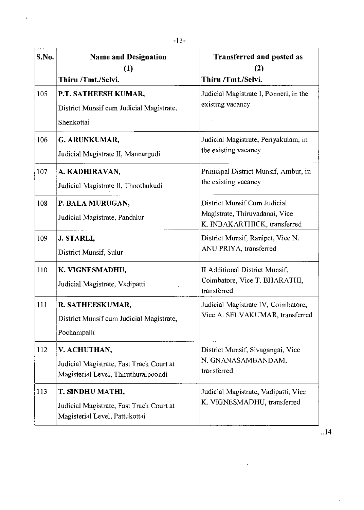| S.No. | <b>Name and Designation</b><br>(1)<br>Thiru /Tmt./Selvi.                                         | Transferred and posted as<br>(2)<br>Thiru /Tmt./Selvi.                                         |
|-------|--------------------------------------------------------------------------------------------------|------------------------------------------------------------------------------------------------|
| 105   | P.T. SATHEESH KUMAR,<br>District Munsif cum Judicial Magistrate,<br>Shenkottai                   | Judicial Magistrate I, Ponneri, in the<br>existing vacancy                                     |
| 106   | G. ARUNKUMAR,<br>Judicial Magistrate II, Mannargudi                                              | Judicial Magistrate, Periyakulam, in<br>the existing vacancy                                   |
| 107   | A. KADHIRAVAN,<br>Judicial Magistrate II, Thoothukudi                                            | Prinicipal District Munsif, Ambur, in<br>the existing vacancy                                  |
| 108   | P. BALA MURUGAN,<br>Judicial Magistrate, Pandalur                                                | District Munsif Cum Judicial<br>Magistrate, Thiruvadanai, Vice<br>K. INBAKARTHICK, transferred |
| 109   | J. STARLI,<br>District Munsif, Sulur                                                             | District Munsif, Ranipet, Vice N.<br>ANU PRIYA, transferred                                    |
| 110   | K. VIGNESMADHU,<br>Judicial Magistrate, Vadipatti                                                | II Additional District Munsif,<br>Coimbatore, Vice T. BHARATHI,<br>transferred                 |
| 111   | R. SATHEESKUMAR,<br>District Munsif cum Judicial Magistrate,<br>Pochampalli                      | Judicial Magistrate IV, Coimbatore,<br>Vice A. SELVAKUMAR, transferred                         |
| 112   | V. ACHUTHAN,<br>Judicial Magistrate, Fast Track Court at<br>Magisterial Level, Thiruthuraipoondi | District Munsif, Sivagangai, Vice<br>N. GNANASAMBANDAM,<br>transferred                         |
| 113   | T. SINDHU MATHI,<br>Judicial Magistrate, Fast Track Court at<br>Magisterial Level, Pattukottai   | Judicial Magistrate, Vadipatti, Vice<br>K. VIGNESMADHU, transferred                            |

 $\mathcal{L}^{\text{max}}_{\text{max}}$  and  $\mathcal{L}^{\text{max}}_{\text{max}}$ 

 $\sim 10$  $\ddot{\phantom{a}}$ 

..14

 $\mathcal{A}$ 

 $\mathcal{L}^{\text{max}}_{\text{max}}$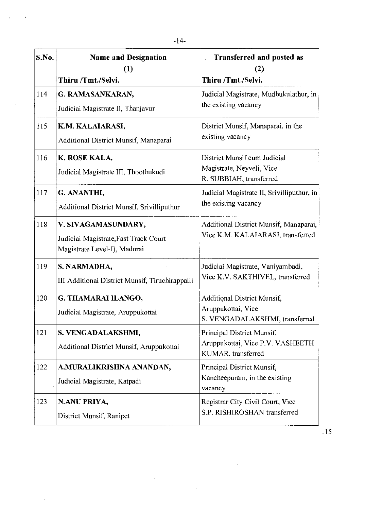| S.No. | <b>Name and Designation</b><br>(1)<br>Thiru /Tmt./Selvi.                                     | Transferred and posted as<br>(2)<br>Thiru /Tmt./Selvi.                                     |
|-------|----------------------------------------------------------------------------------------------|--------------------------------------------------------------------------------------------|
| 114   | G. RAMASANKARAN,<br>Judicial Magistrate II, Thanjavur                                        | Judicial Magistrate, Mudhukulathur, in<br>the existing vacancy                             |
| 115   | K.M. KALAIARASI,<br>Additional District Munsif, Manaparai                                    | District Munsif, Manaparai, in the<br>existing vacancy                                     |
| 116   | K. ROSE KALA,<br>Judicial Magistrate III, Thoothukudi                                        | District Munsif cum Judicial<br>Magistrate, Neyveli, Vice<br>R. SUBBIAH, transferred       |
| 117   | G. ANANTHI,<br>Additional District Munsif, Srivilliputhur                                    | Judicial Magistrate II, Srivilliputhur, in<br>the existing vacancy                         |
| 118   | V. SIVAGAMASUNDARY,<br>Judicial Magistrate, Fast Track Court<br>Magistrate Level-I), Madurai | Additional District Munsif, Manaparai,<br>Vice K.M. KALAIARASI, transferred                |
| 119   | S. NARMADHA,<br>III Additional District Munsif, Tiruchirappalli                              | Judicial Magistrate, Vaniyambadi,<br>Vice K.V. SAKTHIVEL, transferred                      |
| 120   | G. THAMARAI ILANGO,<br>Judicial Magistrate, Aruppukottai                                     | <b>Additional District Munsif,</b><br>Aruppukottai, Vice<br>S. VENGADALAKSHMI, transferred |
| 121   | S. VENGADALAKSHMI,<br>Additional District Munsif, Aruppukottai                               | Principal District Munsif,<br>Aruppukottai, Vice P.V. VASHEETH<br>KUMAR, transferred       |
| 122   | A.MURALIKRISHNA ANANDAN,<br>Judicial Magistrate, Katpadi                                     | Principal District Munsif,<br>Kancheepuram, in the existing<br>vacancy                     |
| 123   | N.ANU PRIYA,<br>District Munsif, Ranipet                                                     | Registrar City Civil Court, Vice<br>S.P. RISHIROSHAN transferred                           |

 $\sim 10^6$ 

 $\mathcal{L}^{\text{max}}_{\text{max}}$  and  $\mathcal{L}^{\text{max}}_{\text{max}}$ 

 $\sim$ 

 $\hat{\mathcal{A}}$ 

 $\hat{\mathcal{A}}$ 

 $\frac{1}{\sqrt{2}}$ 

 $\hat{\mathcal{A}}$ 

 $\cdot$ 

 $\mathcal{L}_{\text{max}}$ 

 $\sim 10$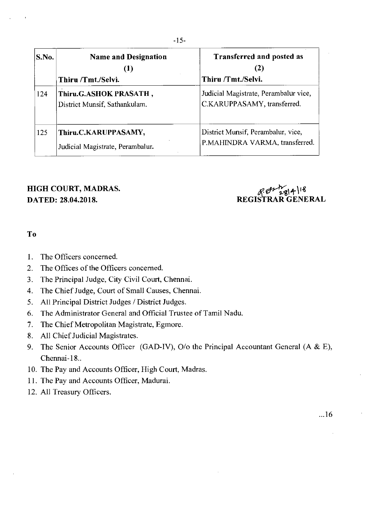| S.No. | <b>Name and Designation</b><br>(1)<br>Thiru /Tmt./Selvi. | <b>Transferred and posted as</b><br>(2)<br>Thiru /Tmt./Selvi.        |
|-------|----------------------------------------------------------|----------------------------------------------------------------------|
| 124   | Thiru.G.ASHOK PRASATH,<br>District Munsif, Sathankulam.  | Judicial Magistrate, Perambalur vice,<br>C.KARUPPASAMY, transferred. |
| 125   | Thiru.C.KARUPPASAMY,<br>Judicial Magistrate, Perambalur. | District Munsif, Perambalur, vice,<br>P.MAHINDRA VARMA, transferred. |

# **HIGH COURT, MADRAS.**  $R \frac{\partial V_{2}g_{14}}{\partial \theta}$

**DATED: 28.04.2018. REGISTRAR GENERAL** 

#### **To**

- 1. The Officers concerned.
- 2. The Offices of the Officers concerned.
- 3. The Principal Judge, City Civil Court, Chennai.
- 4. The Chief Judge, Court of Small Causes, Chennai.
- 5. All Principal District Judges / District Judges.
- 6. The Administrator General and Official Trustee of Tamil Nadu.
- 7. The Chief Metropolitan Magistrate, Egmore.
- 8. All Chief Judicial Magistrates.
- 9. The Senior Accounts Officer (GAD-1V), 0/o the Principal Accountant General (A & E), Chennai-18..
- 10. The Pay and Accounts Officer, High Court, Madras.
- 11. The Pay and Accounts Officer, Madurai.
- 12. All Treasury Officers.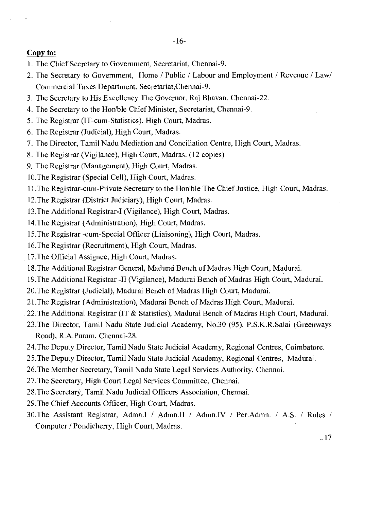#### Copy to:

- 1. The Chief Secretary to Government, Secretariat, Chennai-9.
- 2. The Secretary to Government, Home / Public / Labour and Employment / Revenue / Law/ Commercial Taxes Department, Secretariat,Chennai-9.
- 3. The Secretary to His Excellency The Governor, Raj Bhavan, Chennai-22.
- 4. The Secretary to the Hon'ble Chief Minister, Secretariat, Chennai-9.
- 5. The Registrar (IT-cum-Statistics), High Court, Madras.
- 6. The Registrar (Judicial), High Court, Madras.
- 7. The Director, Tamil Nadu Mediation and Conciliation Centre, High Court, Madras.
- 8. The Registrar (Vigilance), High Court, Madras. (12 copies)
- 9. The Registrar (Management), High Court, Madras.
- 10.The Registrar (Special Cell), High Court, Madras.
- 11.The Registrar-cum-Private Secretary to the Hon'ble The Chief Justice, High Court, Madras.
- 12.The Registrar (District Judiciary), High Court, Madras.
- 13.The Additional Registrar-I (Vigilance), High Court, Madras.
- 14.The Registrar (Administration), High Court, Madras.
- 15.The Registrar -cum-Special Officer (Liaisoning), High Court, Madras.
- 16.The Registrar (Recruitment), High Court, Madras.
- 17.The Official Assignee, High Court, Madras.
- 18.The Additional Registrar General, Madurai Bench of Madras High Court, Madurai.
- 19.The Additional Registrar -II (Vigilance), Madurai Bench of Madras High Court, Madurai.
- 20.The Registrar (Judicial), Madurai Bench of Madras High Court, Madurai.
- 21.The Registrar (Administration), Madurai Bench of Madras High Court, Madurai.
- 22.The Additional Registrar (IT & Statistics), Madurai Bench of Madras High Court, Madurai.
- 23.The Director, Tamil Nadu State Judicial Academy, No.30 (95), P.S.K.R.Salai (Greenways Road), R.A.Puram, Chennai-28.
- 24.The Deputy Director, Tamil Nadu State Judicial Academy, Regional Centres, Coimbatore.
- 25.The Deputy Director, Tamil Nadu State Judicial Academy, Regional Centres, Madurai.
- 26.The Member Secretary, Tamil Nadu State Legal Services Authority, Chennai.
- 27.The Secretary, High Court Legal Services Committee, Chennai.
- 28.The Secretary, Tamil Nadu Judicial Officers Association, Chennai.
- 29.The Chief Accounts Officer, High Court, Madras.
- 30.The Assistant Registrar, Admn.I / Admn.II / Admn.IV / Per.Admn. / A.S. / Rules / Computer / Pondicherry, High Court, Madras.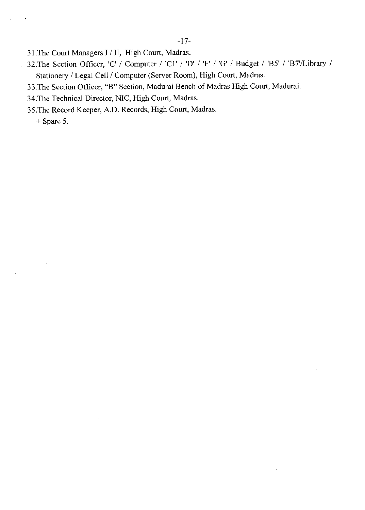- 31.The Court Managers I / II, High Court, Madras.
- 32.The Section Officer, 'C' / Computer / 'Cl' / 'D' / 'F' / 'G' / Budget / 'B5' / 'B7'/Library / Stationery / Legal Cell / Computer (Server Room), High Court, Madras.

 $\mathcal{L}_{\mathcal{A}}$ 

- 33.The Section Officer, "B" Section, Madurai Bench of Madras High Court, Madurai.
- 34.The Technical Director, NIC, High Court, Madras.
- 35.The Record Keeper, A.D. Records, High Court, Madras.

+ Spare 5.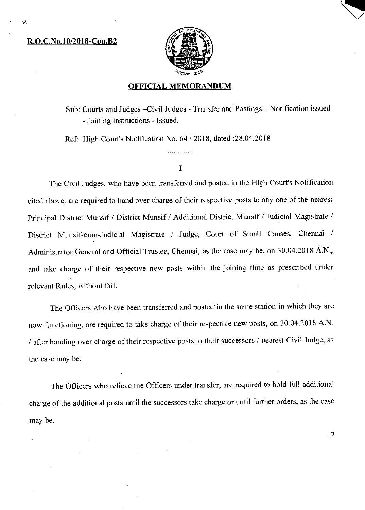#### **R.O.C.No.10/2018-Con.B2**



#### **OFFICIAL MEMORANDUM**

Sub: Courts and Judges —Civil Judges - Transfer and Postings — Notification issued - Joining instructions - Issued.

Ref: High Court's Notification No. 64 / 2018, dated :28.04.2018

#### I

The Civil Judges, who have been transferred and posted in the High Court's Notification cited above, are required to hand over charge of their respective posts to any one of the nearest Principal District Munsif / District Munsif / Additional District Munsif / Judicial Magistrate / District Munsif-cum-Judicial Magistrate / Judge, Court of Small Causes, Chennaï / Administrator General and Official Trustee, Chennai, as the case may be, on 30.04.2018 A.N., and take charge of their respective new posts within the joining time as prescribed under relevant Rules, without fail.

The Officers who have been transferred and posted in the same station in which they are now functioning, are required to take charge of their respective new posts, on 30.04.2018 A.N. / after handing over charge of their respective posts to their successors / nearest Civil Judge, as the case may be.

The Officers who relieve the Officers under transfer, are required to hold full additional charge of the additional posts until the successors take charge or until further orders, as the case may be.